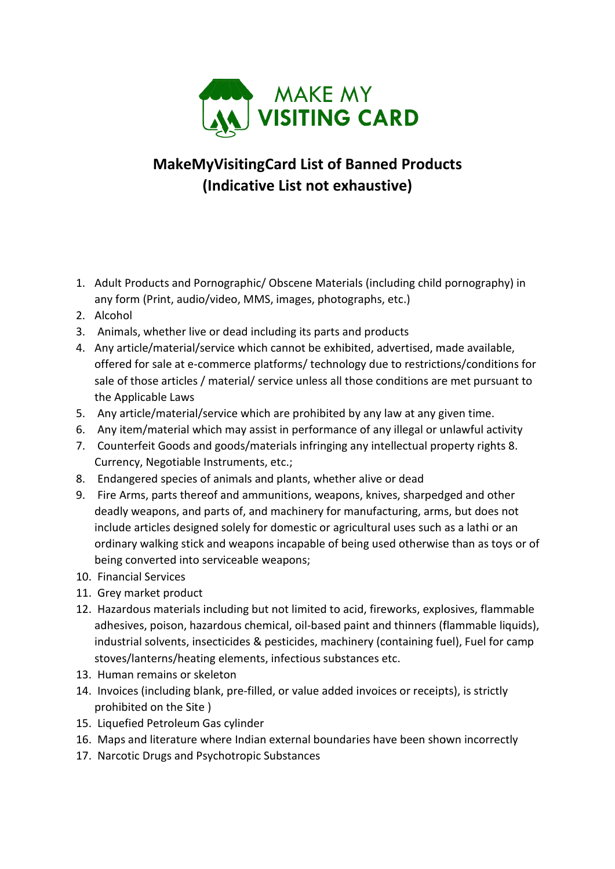

## **MakeMyVisitingCard List of Banned Products (Indicative List not exhaustive exhaustive)**

- 1. Adult Products and Pornographic/ Obscene Materials (including child pornography) in any form (Print, audio/video, MMS, images, photographs, etc.)
- 2. Alcohol
- 3. Animals, whether live or dead including its parts and products
- 4. Any article/material/service which cannot be exhibited, advertised, made available, offered for sale at e-commerce platforms/ technology due to restrictions/conditions for offered for sale at e-commerce platforms/ technology due to restrictions/conditions for<br>sale of those articles / material/ service unless all those conditions are met pursuant to the Applicable Laws t e-commerce platforms/ technology due to restrictions/conditions<br>cles / material/ service unless all those conditions are met pursuant<br>ws<br>rrial/service which are prohibited by any law at any given time.<br>lal which may assi
- 5. Any article/material/service which are prohibited by any law at any given time.
- 6. Any item/material which may assist in performance of any illegal or unlawful activity
- 7. Counterfeit Goods and goods/materials infringing any intellectual property rights 8. Currency, Negotiable Instruments, etc.;
- 8. Endangered species of animals and plants, whether alive or dead
- 9. Fire Arms, parts thereof and ammunitions, weapons, knives, sharpedged and other deadly weapons, and parts of, and machinery for manufacturing, arms, but does not include articles designed solely for domestic or agricultural uses such as a lathi or an include articles designed solely for domestic or agricultural uses such as a lathi or an<br>ordinary walking stick and weapons incapable of being used otherwise than as toys or of being converted into serviceable weapons; s and goods/materials infringing any intellectual property rights 8.<br>ble Instruments, etc.;<br>ies of animals and plants, whether alive or dead<br>hereof and ammunitions, weapons, knives, sharpedged and other<br>and parts of, and m
- 10. Financial Services
- 11. Grey market product
- 12. Hazardous materials including but not limited to acid, fireworks, explosives, flammable adhesives, poison, hazardous chemical, oil-based paint and thinners (flammable liquids), industrial solvents, insecticides & pesticides, machinery (containing fuel), Fuel for camp stoves/lanterns/heating elements, infectious substances etc. including but not limited to acid, fireworks, explosives, flammalizardous chemical, oil-based paint and thinners (flammable liquisecticides & pesticides, machinery (containing fuel), Fuel for caring elements, infectious su
- 13. Human remains or skeleton
- 14. Invoices (including blank, pre-filled, or value added invoices or receipts), is strictly prohibited on the Site )
- 15. Liquefied Petroleum Gas cylinder
- 16. Maps and literature where Indian external boundaries have been shown incorrectly
- 17. Narcotic Drugs and Psychotropic Substances